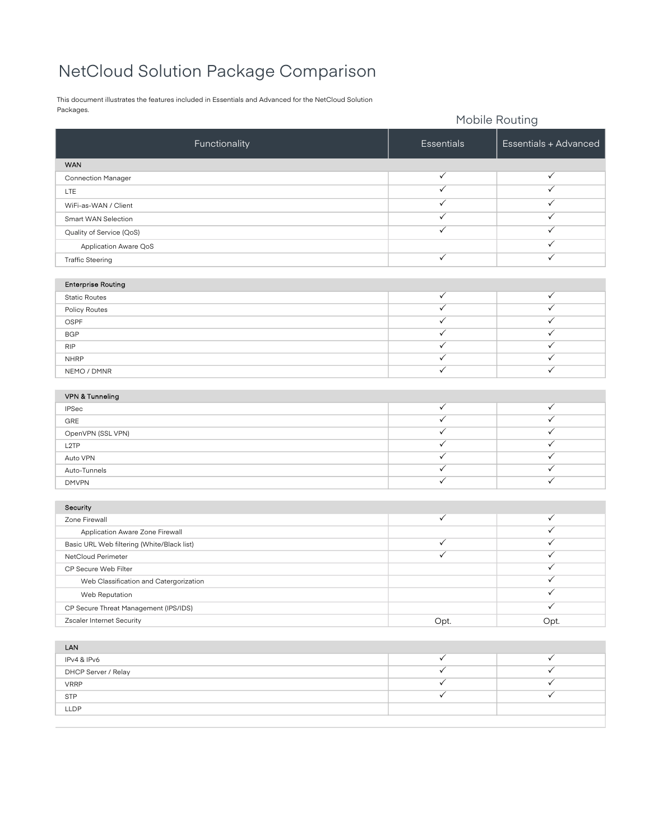## NetCloud Solution Package Comparison

This document illustrates the features included in Essentials and Advanced for the NetCloud Solution Packages.

|                                            | Mobile Routing          |                              |
|--------------------------------------------|-------------------------|------------------------------|
| Functionality                              | Essentials              | Essentials + Advanced        |
| <b>WAN</b>                                 |                         |                              |
| Connection Manager                         | $\checkmark$            | $\checkmark$                 |
| LTE                                        | $\overline{\checkmark}$ | $\overline{\checkmark}$      |
| WiFi-as-WAN / Client                       | ✓                       | $\checkmark$                 |
| Smart WAN Selection                        | $\checkmark$            | ✓                            |
| Quality of Service (QoS)                   | $\checkmark$            | $\checkmark$                 |
| Application Aware QoS                      |                         | $\checkmark$                 |
| <b>Traffic Steering</b>                    | ✓                       | $\checkmark$                 |
|                                            |                         |                              |
| <b>Enterprise Routing</b>                  |                         |                              |
| <b>Static Routes</b>                       | $\checkmark$            | $\checkmark$                 |
| Policy Routes                              | $\checkmark$            | $\checkmark$                 |
| OSPF                                       | ✓<br>$\checkmark$       | $\checkmark$<br>$\checkmark$ |
| <b>BGP</b>                                 | ✓                       | $\checkmark$                 |
| <b>RIP</b>                                 | ✓                       | $\checkmark$                 |
| <b>NHRP</b>                                | $\checkmark$            | $\checkmark$                 |
| NEMO / DMNR                                |                         |                              |
| VPN & Tunneling                            |                         |                              |
| <b>IPSec</b>                               | ✓                       | $\checkmark$                 |
| GRE                                        | ✓                       | $\checkmark$                 |
| OpenVPN (SSL VPN)                          | ✓                       | $\checkmark$                 |
| L <sub>2</sub> TP                          | $\checkmark$            | $\checkmark$                 |
| Auto VPN                                   | $\checkmark$            | $\checkmark$                 |
| Auto-Tunnels                               | $\checkmark$            | $\checkmark$                 |
| <b>DMVPN</b>                               | $\checkmark$            | $\checkmark$                 |
|                                            |                         |                              |
| Security                                   |                         |                              |
| Zone Firewall                              | ✓                       | $\checkmark$                 |
| Application Aware Zone Firewall            |                         | $\checkmark$                 |
| Basic URL Web filtering (White/Black list) | ✓<br>$\checkmark$       | $\checkmark$                 |
| NetCloud Perimeter                         |                         | ✓<br>✓                       |
| CP Secure Web Filter                       |                         | ✓                            |
| Web Classification and Catergorization     |                         | $\checkmark$                 |
| Web Reputation                             |                         | $\checkmark$                 |
| CP Secure Threat Management (IPS/IDS)      |                         |                              |
| Zscaler Internet Security                  | Opt.                    | Opt.                         |
| LAN                                        |                         |                              |
| IPv4 & IPv6                                | $\checkmark$            | $\checkmark$                 |
| DHCP Server / Relay                        | $\checkmark$            | $\checkmark$                 |
| <b>VRRP</b>                                | ✓                       | $\checkmark$                 |
| <b>STP</b>                                 | $\overline{\checkmark}$ | $\sqrt{}$                    |
| LLDP                                       |                         |                              |
|                                            |                         |                              |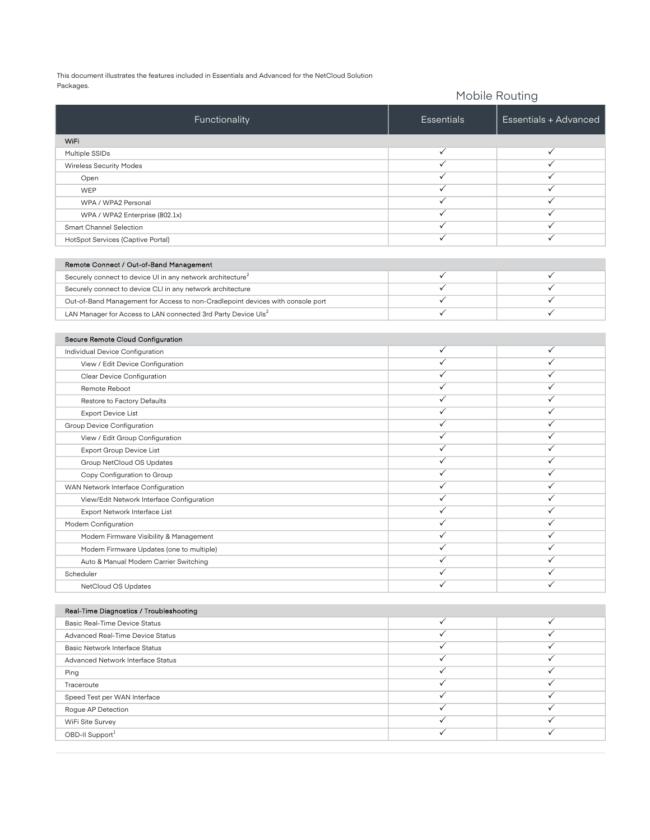This document illustrates the features included in Essentials and Advanced for the NetCloud Solution Packages.

| Packages.                                                                      |                   | Mobile Routing        |  |
|--------------------------------------------------------------------------------|-------------------|-----------------------|--|
| Functionality                                                                  | <b>Essentials</b> | Essentials + Advanced |  |
| WiFi                                                                           |                   |                       |  |
| Multiple SSIDs                                                                 | $\checkmark$      | ✓                     |  |
| <b>Wireless Security Modes</b>                                                 | ✓                 | ✓                     |  |
| Open                                                                           | ✓                 | ✓                     |  |
| WEP                                                                            | ✓                 | ✓                     |  |
| WPA / WPA2 Personal                                                            | ✓                 | ✓                     |  |
| WPA / WPA2 Enterprise (802.1x)                                                 | ✓                 | $\checkmark$          |  |
| Smart Channel Selection                                                        | ✓                 | $\checkmark$          |  |
| HotSpot Services (Captive Portal)                                              | $\checkmark$      | $\checkmark$          |  |
|                                                                                |                   |                       |  |
| Remote Connect / Out-of-Band Management                                        | $\checkmark$      | ✓                     |  |
| Securely connect to device UI in any network architecture <sup>2</sup>         | ✓                 | $\checkmark$          |  |
| Securely connect to device CLI in any network architecture                     | $\checkmark$      | ✓                     |  |
| Out-of-Band Management for Access to non-Cradlepoint devices with console port | $\checkmark$      | $\checkmark$          |  |
| LAN Manager for Access to LAN connected 3rd Party Device Uls <sup>2</sup>      |                   |                       |  |
| Secure Remote Cloud Configuration                                              |                   |                       |  |
| Individual Device Configuration                                                | $\checkmark$      | ✓                     |  |
| View / Edit Device Configuration                                               | $\checkmark$      | $\checkmark$          |  |
| Clear Device Configuration                                                     | $\checkmark$      | ✓                     |  |
| Remote Reboot                                                                  | ✓                 | ✓                     |  |
| Restore to Factory Defaults                                                    | ✓                 | ✓                     |  |
| <b>Export Device List</b>                                                      | ✓                 | ✓                     |  |
| Group Device Configuration                                                     | ✓                 | ✓                     |  |
| View / Edit Group Configuration                                                | ✓                 | $\checkmark$          |  |
| Export Group Device List                                                       | ✓                 | $\checkmark$          |  |
| Group NetCloud OS Updates                                                      | ✓                 | $\checkmark$          |  |
| Copy Configuration to Group                                                    | ✓                 | $\checkmark$          |  |
| WAN Network Interface Configuration                                            | $\checkmark$      | $\checkmark$          |  |
| View/Edit Network Interface Configuration                                      | $\checkmark$      | ✓                     |  |
| Export Network Interface List                                                  | ✓                 | ✓                     |  |
| Modem Configuration                                                            | ✓                 | $\checkmark$          |  |
| Modem Firmware Visibility & Management                                         | $\checkmark$      | ✓                     |  |
| Modem Firmware Updates (one to multiple)                                       | ✓                 | ✓                     |  |
| Auto & Manual Modem Carrier Switching                                          | ✓                 | ✓                     |  |
| Scheduler                                                                      | ✓                 | ✓                     |  |
| NetCloud OS Updates                                                            | ✓                 | ✓                     |  |
| Real-Time Diagnostics / Troubleshooting                                        |                   |                       |  |
| Basic Real-Time Device Status                                                  | $\checkmark$      | ✓                     |  |
| Advanced Real-Time Device Status                                               | ✓                 | ✓                     |  |
| Basic Network Interface Status                                                 | ✓                 | $\checkmark$          |  |
| Advanced Network Interface Status                                              | ✓                 | $\checkmark$          |  |
| Ping                                                                           | ✓                 | $\checkmark$          |  |
| Traceroute                                                                     | ✓                 | $\checkmark$          |  |
| Speed Test per WAN Interface                                                   | ✓                 | $\checkmark$          |  |
| Rogue AP Detection                                                             | ✓                 | ✓                     |  |
| WiFi Site Survey                                                               | ✓                 | ✓                     |  |
| OBD-II Support1                                                                | ✓                 | $\checkmark$          |  |